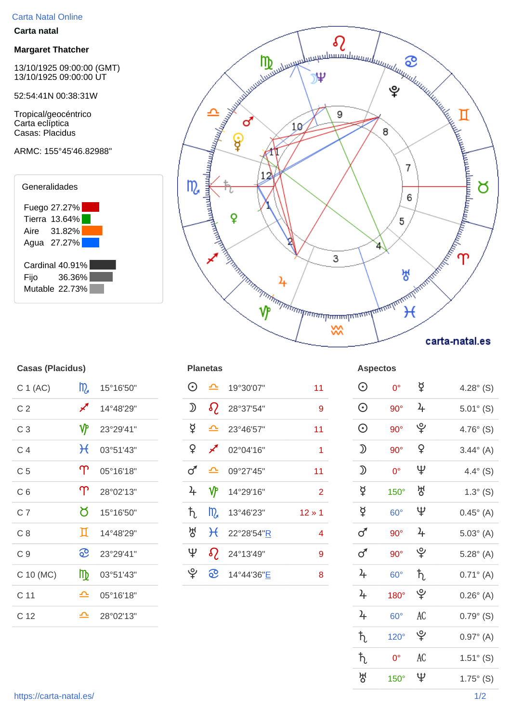## Carta Natal Online

#### **Carta natal**

#### **Margaret Thatcher**

13/10/1925 09:00:00 (GMT) 13/10/1925 09:00:00 UT

52:54:41N 00:38:31W

Tropical/geocéntrico Carta eclíptica Casas: Placidus

# ARMC: 155°45'46.82988"





| <b>Casas (Placidus)</b> |              |           |         | <b>Planetas</b> | <b>Aspectos</b> |                |                   |                 |
|-------------------------|--------------|-----------|---------|-----------------|-----------------|----------------|-------------------|-----------------|
| C 1 (AC)                | m            | 15°16'50" | $\odot$ | ᅀ               | 19°30'07"       | 11             | $\odot$           | C               |
| C <sub>2</sub>          | ∕            | 14°48'29" | ⅅ       | $\Omega$        | 28°37'54"       | 9              | $\odot$           | 9               |
| C <sub>3</sub>          | ℽ            | 23°29'41" | ₫       | ᅀ               | 23°46'57"       | 11             | $\odot$           | 9               |
| C <sub>4</sub>          | $\mathcal H$ | 03°51'43" | ¥       | ∕               | 02°04'16"       | 1              | $\mathfrak D$     | 9               |
| C <sub>5</sub>          | $\Upsilon$   | 05°16'18" | ♂       | ᅀ               | 09°27'45"       | 11             | $\mathfrak D$     | C               |
| C <sub>6</sub>          | $\Upsilon$   | 28°02'13" | 4       | νΡ              | 14°29'16"       | $\overline{2}$ | ₫                 | 15              |
| C <sub>7</sub>          | Ծ            | 15°16'50" | ħ       | m               | 13°46'23"       | $12 * 1$       | $\breve{\varphi}$ | $6\phantom{1}6$ |
| C8                      | Д            | 14°48'29" | 썽       | $\mathcal{H}$   | 22°28'54"R      | 4              | $\sigma$          | 9               |
| C <sub>9</sub>          | <u>ေ</u>     | 23°29'41" | Ψ       | $\Omega$        | 24°13'49"       | 9              | $\sigma$          | 9               |
| C 10 (MC)               | ₥            | 03°51'43" | ৺       | <u>ေ</u>        | 14°44'36"E      | 8              | $\frac{1}{2}$     | $6\phantom{1}6$ |
| C 11                    | ≏            | 05°16'18" |         |                 |                 |                | $\frac{1}{2}$     | 18              |
| C 12                    | ᅀ            | 28°02'13" |         |                 |                 |                | $\frac{1}{2}$     | $6\phantom{1}6$ |

| Uasas (Hauluus) |               |               | l lalitud         |                            |                          |                |                   | <b>ASPECIUS</b> |                 |                     |  |
|-----------------|---------------|---------------|-------------------|----------------------------|--------------------------|----------------|-------------------|-----------------|-----------------|---------------------|--|
| C 1 (AC)        | $m_a$         | 15°16'50"     | $\odot$           |                            | $\triangle$ 19°30'07"    | 11             | $\odot$           | $0^{\circ}$     | ₫               | 4.28 $^{\circ}$ (S) |  |
| C <sub>2</sub>  | ∕∕            | 14°48'29"     | ⅅ                 | $\Omega$                   | 28°37'54"                | 9              | $\odot$           | $90^\circ$      | $\frac{2}{\pi}$ | $5.01^{\circ}$ (S)  |  |
| C <sub>3</sub>  | ₩             | 23°29'41"     | $\breve{\varphi}$ |                            | $\triangle$ 23°46'57"    | 11             | $\odot$           | $90^\circ$      | ৺               | 4.76 $^{\circ}$ (S) |  |
| C <sub>4</sub>  |               | $H$ 03°51'43" | ¥                 | $\boldsymbol{\mathscr{F}}$ | 02°04'16"                |                | $\mathfrak D$     | $90^\circ$      | $\mathsf{P}$    | $3.44^{\circ}$ (A)  |  |
| C <sub>5</sub>  | $\mathcal{T}$ | 05°16'18"     | ♂                 | $\triangle$                | 09°27'45"                | 11             | $\mathfrak D$     | $0^{\circ}$     | Ψ               | 4.4 $^{\circ}$ (S)  |  |
| C <sub>6</sub>  | $\Upsilon$    | 28°02'13"     | 4                 | $\mathbf{\hat{v}}$         | 14°29'16"                | $\overline{2}$ | $\breve{\varphi}$ | $150^\circ$     | ਲ੍ਹ             | $1.3^{\circ}$ (S)   |  |
| C <sub>7</sub>  | ರ             | 15°16'50"     | ħ.                |                            | $\frac{10}{2}$ 13°46'23" | $12 * 1$       | $\breve{\varphi}$ | $60^\circ$      | Ψ               | $0.45^{\circ}$ (A)  |  |
| C8              | П             | 14°48'29"     | 썽                 |                            | $H$ 22°28'54"R           | 4              | $\sigma$          | $90^\circ$      | $\frac{2}{\pi}$ | $5.03^{\circ}$ (A)  |  |
| C <sub>9</sub>  | <u> တ</u>     | 23°29'41"     | $\mathfrak{P}$    | $\Omega$                   | 24°13'49"                | 9              | $\sigma$          | $90^\circ$      | ೪               | $5.28^{\circ}$ (A)  |  |
| C 10 (MC)       | $\mathbb{D}$  | 03°51'43"     | ৺                 | <u>ေ</u>                   | 14°44'36"E               | $\bf{8}$       | $\frac{1}{2}$     | $60^\circ$      | $\hbar$         | $0.71^{\circ}$ (A)  |  |
|                 |               |               |                   |                            |                          |                |                   |                 |                 |                     |  |

| C 1 (AC)        | m                  | 15°16'50" | $\odot$           | $\triangle$                | 19°30'07"  | 11               | $\odot$           | $0^{\circ}$  | $\breve{\vec{r}}$ | $4.28^{\circ}$ (S) |
|-----------------|--------------------|-----------|-------------------|----------------------------|------------|------------------|-------------------|--------------|-------------------|--------------------|
| C <sub>2</sub>  | ∕                  | 14°48'29" | $\mathfrak{D}$    | $\Omega$                   | 28°37'54"  | $\boldsymbol{9}$ | $\odot$           | $90^\circ$   | $\frac{1}{2}$     | $5.01^{\circ}$ (S) |
| C <sub>3</sub>  | $\mathbf{\hat{v}}$ | 23°29'41" | $\breve{\varphi}$ | $\triangle$                | 23°46'57"  | 11               | $\odot$           | $90^\circ$   | ပ္                | $4.76^{\circ}$ (S) |
| C <sub>4</sub>  | $\mathcal{H}$      | 03°51'43" | $\mathsf{P}$      | $\boldsymbol{\mathscr{J}}$ | 02°04'16"  | 1                | $\mathfrak D$     | $90^\circ$   | $\mathsf{P}$      | $3.44^{\circ}$ (A) |
| C <sub>5</sub>  | $\Upsilon$         | 05°16'18" | $\sigma$          | $\triangle$                | 09°27'45"  | 11               | $\mathfrak D$     | $0^{\circ}$  | Ψ                 | $4.4^{\circ}$ (S)  |
| C <sub>6</sub>  | $\Upsilon$         | 28°02'13" | $\frac{1}{2}$     | $\mathbf{\hat{v}}$         | 14°29'16"  | $\overline{2}$   | $\breve{\varphi}$ | $150^\circ$  | 생                 | $1.3^\circ$ (S)    |
| C <sub>7</sub>  | ୪                  | 15°16'50" | $\hbar$           | m                          | 13°46'23"  | $12 * 1$         | $\breve{\varphi}$ | $60^{\circ}$ | Ψ                 | $0.45^{\circ}$ (A) |
| C8              | Д                  | 14°48'29" | 생                 | $\mathcal{H}$              | 22°28'54"R | $\overline{4}$   | $\sigma$          | $90^\circ$   | $\frac{1}{2}$     | $5.03^{\circ}$ (A) |
| C <sub>9</sub>  | <u>ေ</u>           | 23°29'41" | $\mathfrak{P}$    | $\Omega$                   | 24°13'49"  | 9                | $\sigma$          | $90^\circ$   | ပ္                | $5.28^{\circ}$ (A) |
| C 10 (MC)       | m                  | 03°51'43" | ৺                 | <u>ေ</u>                   | 14°44'36"E | $\bf 8$          | $\frac{1}{2}$     | $60^\circ$   | $\hbar$           | $0.71^{\circ}$ (A) |
| C <sub>11</sub> | ᅀ                  | 05°16'18" |                   |                            |            |                  | $\frac{1}{2}$     | $180^\circ$  | ပ္                | $0.26^{\circ}$ (A) |
| C <sub>12</sub> | ≏                  | 28°02'13" |                   |                            |            |                  | $\frac{1}{2}$     | $60^\circ$   | AC                | $0.79^{\circ}$ (S) |
|                 |                    |           |                   |                            |            |                  | $\hbar$           | $120^\circ$  | ೪                 | $0.97^{\circ}$ (A) |
|                 |                    |           |                   |                            |            |                  | $\hbar$           | $0^{\circ}$  | AC                | $1.51^{\circ}$ (S) |
|                 |                    |           |                   |                            |            |                  | ਲ੍ਹ               | $150^\circ$  | $\mathfrak{P}$    | $1.75^{\circ}$ (S) |
|                 |                    |           |                   |                            |            |                  |                   |              |                   |                    |

## https://carta-natal.es/ 1/2